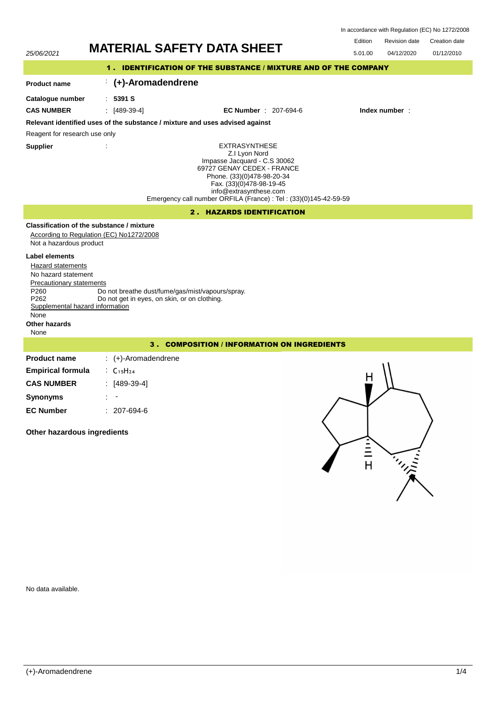| In accordance with Regulation (EC) No 1272/2008 |  |  |  |
|-------------------------------------------------|--|--|--|
|-------------------------------------------------|--|--|--|

Edition

| <b>Revision date</b> | Creation date |
|----------------------|---------------|

| 25/06/2021                                                                                                                                                                        |                                                                                                  | <b>MATERIAL SAFETY DATA SHEET</b>                                                                                                                                                                                                                            | Edition<br><b>Revision date</b><br>Creation date<br>5.01.00<br>04/12/2020<br>01/12/2010 |  |  |  |  |
|-----------------------------------------------------------------------------------------------------------------------------------------------------------------------------------|--------------------------------------------------------------------------------------------------|--------------------------------------------------------------------------------------------------------------------------------------------------------------------------------------------------------------------------------------------------------------|-----------------------------------------------------------------------------------------|--|--|--|--|
| 1. IDENTIFICATION OF THE SUBSTANCE / MIXTURE AND OF THE COMPANY                                                                                                                   |                                                                                                  |                                                                                                                                                                                                                                                              |                                                                                         |  |  |  |  |
| <b>Product name</b>                                                                                                                                                               | (+)-Aromadendrene                                                                                |                                                                                                                                                                                                                                                              |                                                                                         |  |  |  |  |
| Catalogue number                                                                                                                                                                  | : 5391 S                                                                                         |                                                                                                                                                                                                                                                              |                                                                                         |  |  |  |  |
| <b>CAS NUMBER</b>                                                                                                                                                                 | $[489-39-4]$                                                                                     | <b>EC Number</b> : 207-694-6                                                                                                                                                                                                                                 | Index number:                                                                           |  |  |  |  |
|                                                                                                                                                                                   | Relevant identified uses of the substance / mixture and uses advised against                     |                                                                                                                                                                                                                                                              |                                                                                         |  |  |  |  |
| Reagent for research use only                                                                                                                                                     |                                                                                                  |                                                                                                                                                                                                                                                              |                                                                                         |  |  |  |  |
| <b>Supplier</b>                                                                                                                                                                   |                                                                                                  | <b>EXTRASYNTHESE</b><br>Z.I Lyon Nord<br>Impasse Jacquard - C.S 30062<br>69727 GENAY CEDEX - FRANCE<br>Phone. (33)(0)478-98-20-34<br>Fax. (33)(0)478-98-19-45<br>info@extrasynthese.com<br>Emergency call number ORFILA (France) : Tel : (33)(0)145-42-59-59 |                                                                                         |  |  |  |  |
|                                                                                                                                                                                   |                                                                                                  | <b>2. HAZARDS IDENTIFICATION</b>                                                                                                                                                                                                                             |                                                                                         |  |  |  |  |
| Not a hazardous product                                                                                                                                                           | Classification of the substance / mixture<br>According to Regulation (EC) No1272/2008            |                                                                                                                                                                                                                                                              |                                                                                         |  |  |  |  |
| Label elements<br>Hazard statements<br>No hazard statement<br><b>Precautionary statements</b><br>P260<br>P262<br>Supplemental hazard information<br>None<br>Other hazards<br>None | Do not breathe dust/fume/gas/mist/vapours/spray.<br>Do not get in eyes, on skin, or on clothing. |                                                                                                                                                                                                                                                              |                                                                                         |  |  |  |  |
|                                                                                                                                                                                   |                                                                                                  | <b>3. COMPOSITION / INFORMATION ON INGREDIENTS</b>                                                                                                                                                                                                           |                                                                                         |  |  |  |  |
| <b>Product name</b>                                                                                                                                                               | $\div$ (+)-Aromadendrene                                                                         |                                                                                                                                                                                                                                                              |                                                                                         |  |  |  |  |
| <b>Empirical formula</b>                                                                                                                                                          | $\therefore$ C <sub>15</sub> H <sub>24</sub>                                                     |                                                                                                                                                                                                                                                              |                                                                                         |  |  |  |  |
| <b>CAS NUMBER</b>                                                                                                                                                                 | $: [489-39-4]$                                                                                   |                                                                                                                                                                                                                                                              | H                                                                                       |  |  |  |  |
| <b>Synonyms</b>                                                                                                                                                                   |                                                                                                  |                                                                                                                                                                                                                                                              |                                                                                         |  |  |  |  |
| <b>EC Number</b>                                                                                                                                                                  | $: 207-694-6$                                                                                    |                                                                                                                                                                                                                                                              |                                                                                         |  |  |  |  |

**Other hazardous ingredients**



No data available.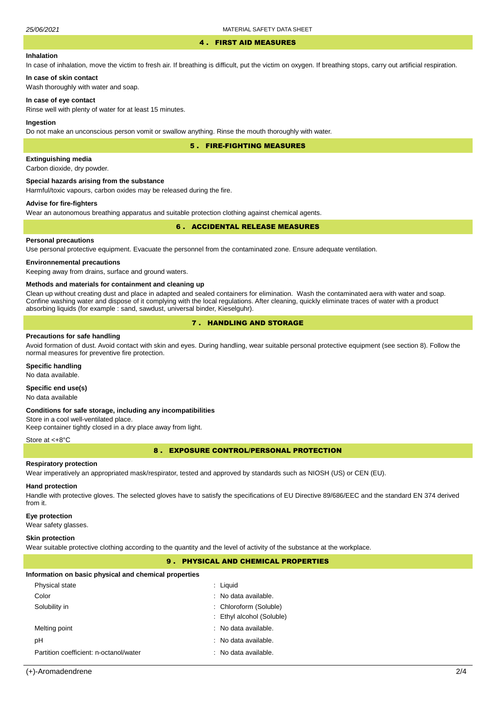#### 4 . FIRST AID MEASURES

# **Inhalation**

In case of inhalation, move the victim to fresh air. If breathing is difficult, put the victim on oxygen. If breathing stops, carry out artificial respiration.

# **In case of skin contact**

Wash thoroughly with water and soap.

#### **In case of eye contact**

Rinse well with plenty of water for at least 15 minutes.

#### **Ingestion**

Do not make an unconscious person vomit or swallow anything. Rinse the mouth thoroughly with water.

5 . FIRE-FIGHTING MEASURES

# **Extinguishing media**

Carbon dioxide, dry powder.

#### **Special hazards arising from the substance**

Harmful/toxic vapours, carbon oxides may be released during the fire.

# **Advise for fire-fighters**

Wear an autonomous breathing apparatus and suitable protection clothing against chemical agents.

# 6 . ACCIDENTAL RELEASE MEASURES

# **Personal precautions**

Use personal protective equipment. Evacuate the personnel from the contaminated zone. Ensure adequate ventilation.

# **Environnemental precautions**

Keeping away from drains, surface and ground waters.

#### **Methods and materials for containment and cleaning up**

Clean up without creating dust and place in adapted and sealed containers for elimination. Wash the contaminated aera with water and soap. Confine washing water and dispose of it complying with the local regulations. After cleaning, quickly eliminate traces of water with a product absorbing liquids (for example : sand, sawdust, universal binder, Kieselguhr).

# 7 . HANDLING AND STORAGE

#### **Precautions for safe handling**

Avoid formation of dust. Avoid contact with skin and eyes. During handling, wear suitable personal protective equipment (see section 8). Follow the normal measures for preventive fire protection.

## **Specific handling**

No data available.

# **Specific end use(s)**

No data available

#### **Conditions for safe storage, including any incompatibilities**

Store in a cool well-ventilated place. Keep container tightly closed in a dry place away from light.

#### Store at <+8°C

8 . EXPOSURE CONTROL/PERSONAL PROTECTION

# **Respiratory protection**

Wear imperatively an appropriated mask/respirator, tested and approved by standards such as NIOSH (US) or CEN (EU).

# **Hand protection**

Handle with protective gloves. The selected gloves have to satisfy the specifications of EU Directive 89/686/EEC and the standard EN 374 derived from it.

# **Eye protection**

Wear safety glasses.

#### **Skin protection**

Wear suitable protective clothing according to the quantity and the level of activity of the substance at the workplace.

# 9 . PHYSICAL AND CHEMICAL PROPERTIES

#### **Information on basic physical and chemical properties**

| : Liquid                  |
|---------------------------|
| : No data available.      |
| : Chloroform (Soluble)    |
| : Ethyl alcohol (Soluble) |
| : No data available.      |
| : No data available.      |
| : No data available.      |
|                           |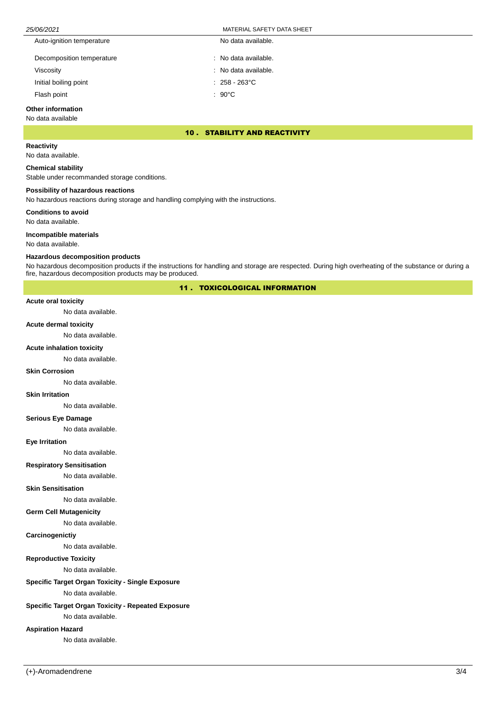# 25/06/2021 MATERIAL SAFETY DATA SHEET

| Auto-ignition temperature | No data available.      |
|---------------------------|-------------------------|
| Decomposition temperature | : No data available.    |
| Viscosity                 | : No data available.    |
| Initial boiling point     | $: 258 - 263^{\circ}$ C |
| Flash point               | $:90^{\circ}$ C         |

## **Other information**

No data available

# 10 . STABILITY AND REACTIVITY

**Reactivity**

No data available.

# **Chemical stability**

Stable under recommanded storage conditions.

# **Possibility of hazardous reactions**

No hazardous reactions during storage and handling complying with the instructions.

**Conditions to avoid**

No data available.

# **Incompatible materials**

No data available.

#### **Hazardous decomposition products**

No hazardous decomposition products if the instructions for handling and storage are respected. During high overheating of the substance or during a fire, hazardous decomposition products may be produced.

# 11 . TOXICOLOGICAL INFORMATION

#### **Acute oral toxicity**

No data available.

## **Acute dermal toxicity**

No data available.

# **Acute inhalation toxicity**

No data available.

#### **Skin Corrosion**

No data available.

#### **Skin Irritation**

No data available.

#### **Serious Eye Damage**

No data available.

# **Eye Irritation**

No data available.

# **Respiratory Sensitisation**

No data available.

#### **Skin Sensitisation**

No data available.

#### **Germ Cell Mutagenicity**

No data available.

#### **Carcinogenictiy**

No data available.

# **Reproductive Toxicity**

No data available.

# **Specific Target Organ Toxicity - Single Exposure**

No data available.

# **Specific Target Organ Toxicity - Repeated Exposure**

No data available.

# **Aspiration Hazard**

No data available.